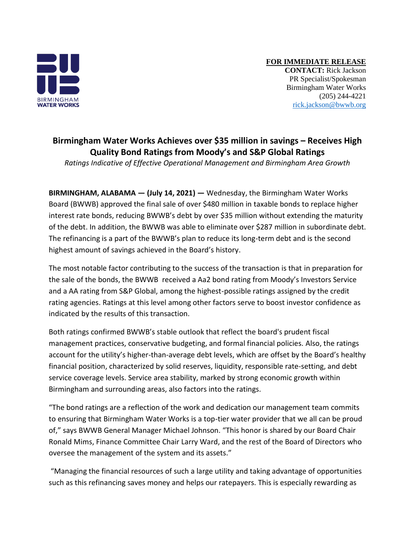

**FOR IMMEDIATE RELEASE CONTACT:** Rick Jackson PR Specialist/Spokesman Birmingham Water Works (205) 244-4221 [rick.jackson@bwwb.org](mailto:rick.jackson@bwwb.org)

## **Birmingham Water Works Achieves over \$35 million in savings – Receives High Quality Bond Ratings from Moody's and S&P Global Ratings**

*Ratings Indicative of Effective Operational Management and Birmingham Area Growth*

**BIRMINGHAM, ALABAMA — (July 14, 2021) —** Wednesday, the Birmingham Water Works Board (BWWB) approved the final sale of over \$480 million in taxable bonds to replace higher interest rate bonds, reducing BWWB's debt by over \$35 million without extending the maturity of the debt. In addition, the BWWB was able to eliminate over \$287 million in subordinate debt. The refinancing is a part of the BWWB's plan to reduce its long-term debt and is the second highest amount of savings achieved in the Board's history.

The most notable factor contributing to the success of the transaction is that in preparation for the sale of the bonds, the BWWB received a Aa2 bond rating from Moody's Investors Service and a AA rating from S&P Global, among the highest-possible ratings assigned by the credit rating agencies. Ratings at this level among other factors serve to boost investor confidence as indicated by the results of this transaction.

Both ratings confirmed BWWB's stable outlook that reflect the board's prudent fiscal management practices, conservative budgeting, and formal financial policies. Also, the ratings account for the utility's higher-than-average debt levels, which are offset by the Board's healthy financial position, characterized by solid reserves, liquidity, responsible rate-setting, and debt service coverage levels. Service area stability, marked by strong economic growth within Birmingham and surrounding areas, also factors into the ratings.

"The bond ratings are a reflection of the work and dedication our management team commits to ensuring that Birmingham Water Works is a top-tier water provider that we all can be proud of," says BWWB General Manager Michael Johnson. "This honor is shared by our Board Chair Ronald Mims, Finance Committee Chair Larry Ward, and the rest of the Board of Directors who oversee the management of the system and its assets."

"Managing the financial resources of such a large utility and taking advantage of opportunities such as this refinancing saves money and helps our ratepayers. This is especially rewarding as